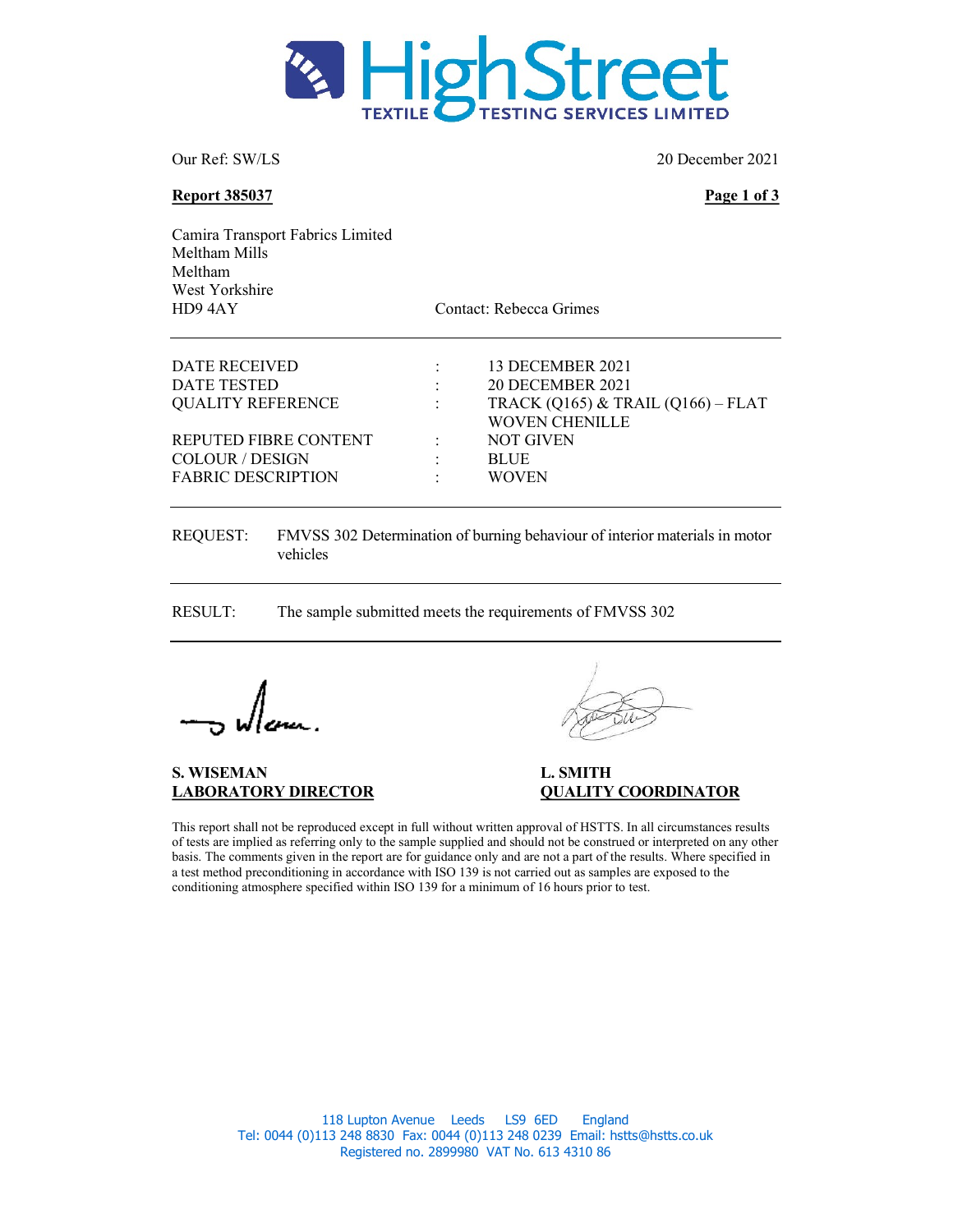

Our Ref: SW/LS 20 December 2021

Report 385037 Page 1 of 3

Camira Transport Fabrics Limited Meltham Mills Meltham West Yorkshire HD9 4AY Contact: Rebecca Grimes

| DATE RECEIVED             |                | 13 DECEMBER 2021                   |
|---------------------------|----------------|------------------------------------|
| DATE TESTED               | $\mathbb{R}^n$ | <b>20 DECEMBER 2021</b>            |
| <b>QUALITY REFERENCE</b>  |                | TRACK (Q165) & TRAIL (Q166) – FLAT |
|                           |                | WOVEN CHENILLE                     |
| REPUTED FIBRE CONTENT     |                | <b>NOT GIVEN</b>                   |
| COLOUR / DESIGN           | ÷              | <b>BLUE</b>                        |
| <b>FABRIC DESCRIPTION</b> | ٠              | <b>WOVEN</b>                       |
|                           |                |                                    |

REQUEST: FMVSS 302 Determination of burning behaviour of interior materials in motor vehicles

RESULT: The sample submitted meets the requirements of FMVSS 302

S. WISEMAN L. SMITH

# LABORATORY DIRECTOR QUALITY COORDINATOR

This report shall not be reproduced except in full without written approval of HSTTS. In all circumstances results of tests are implied as referring only to the sample supplied and should not be construed or interpreted on any other basis. The comments given in the report are for guidance only and are not a part of the results. Where specified in a test method preconditioning in accordance with ISO 139 is not carried out as samples are exposed to the conditioning atmosphere specified within ISO 139 for a minimum of 16 hours prior to test.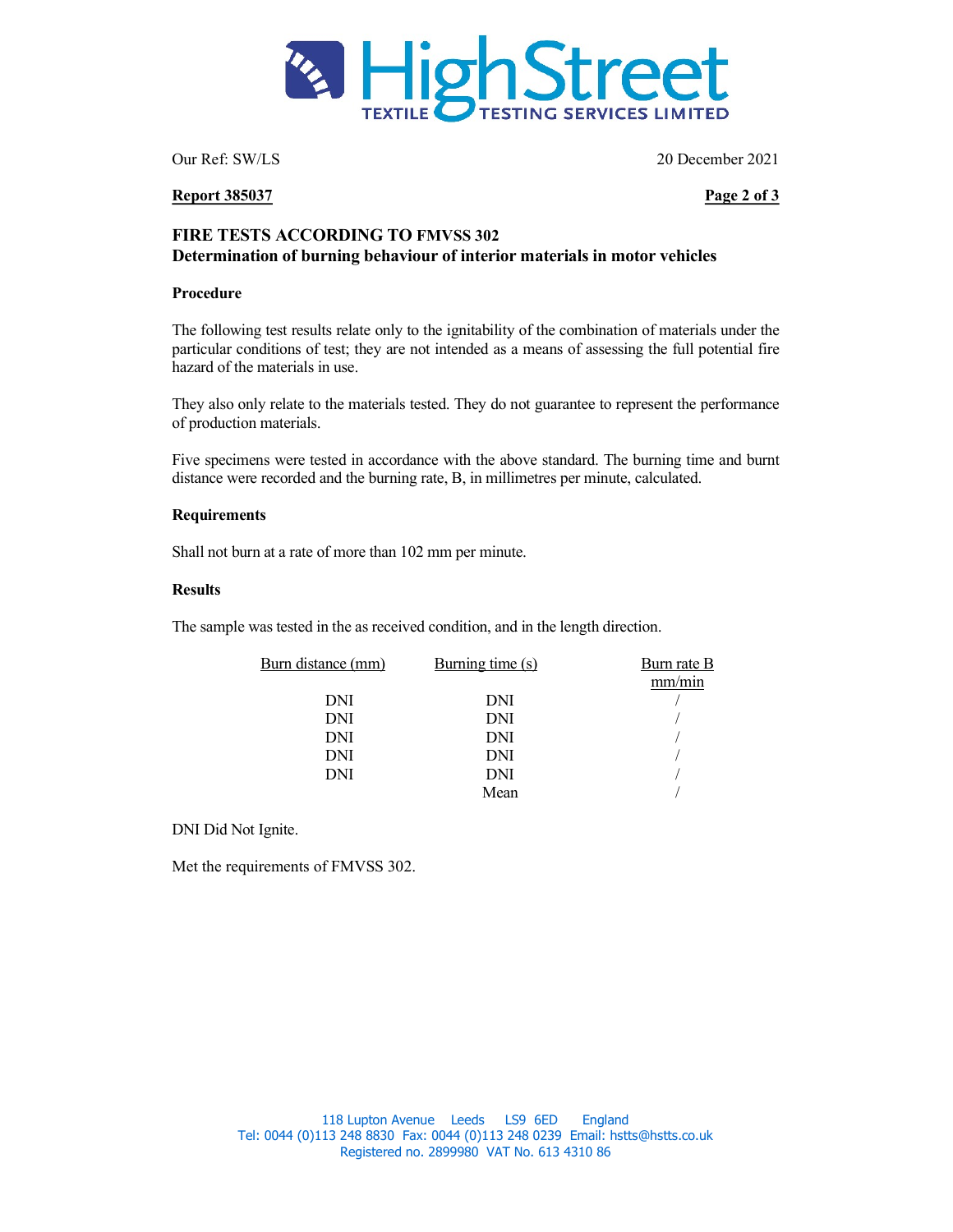

Our Ref: SW/LS 20 December 2021

### Report 385037 Page 2 of 3

## FIRE TESTS ACCORDING TO FMVSS 302 Determination of burning behaviour of interior materials in motor vehicles

#### Procedure

The following test results relate only to the ignitability of the combination of materials under the particular conditions of test; they are not intended as a means of assessing the full potential fire hazard of the materials in use.

They also only relate to the materials tested. They do not guarantee to represent the performance of production materials.

Five specimens were tested in accordance with the above standard. The burning time and burnt distance were recorded and the burning rate, B, in millimetres per minute, calculated.

#### **Requirements**

Shall not burn at a rate of more than 102 mm per minute.

#### **Results**

The sample was tested in the as received condition, and in the length direction.

| Burn distance (mm) | Burning time $(s)$ | Burn rate B |
|--------------------|--------------------|-------------|
|                    |                    | mm/min      |
| DNI                | DNI                |             |
| DNI                | DNI                |             |
| DNI                | DNI                |             |
| DNI                | DNI                |             |
| DNI                | DNI                |             |
|                    | Mean               |             |

DNI Did Not Ignite.

Met the requirements of FMVSS 302.